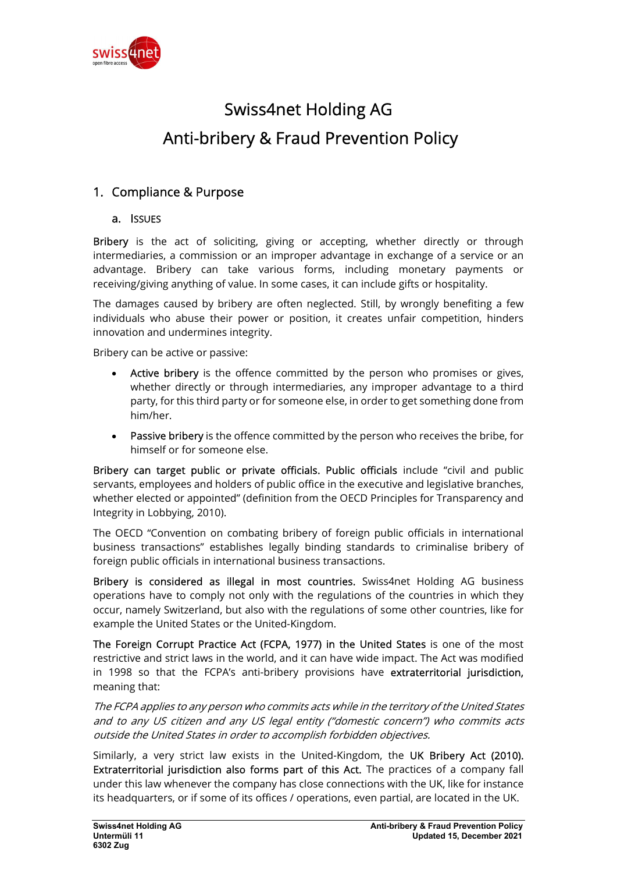

# Swiss4net Holding AG Anti-bribery & Fraud Prevention Policy

# 1. Compliance & Purpose

# a. ISSUES

Bribery is the act of soliciting, giving or accepting, whether directly or through intermediaries, a commission or an improper advantage in exchange of a service or an advantage. Bribery can take various forms, including monetary payments or receiving/giving anything of value. In some cases, it can include gifts or hospitality.

The damages caused by bribery are often neglected. Still, by wrongly benefiting a few individuals who abuse their power or position, it creates unfair competition, hinders innovation and undermines integrity.

Bribery can be active or passive:

- Active bribery is the offence committed by the person who promises or gives, whether directly or through intermediaries, any improper advantage to a third party, for this third party or for someone else, in order to get something done from him/her.
- Passive bribery is the offence committed by the person who receives the bribe, for himself or for someone else.

Bribery can target public or private officials. Public officials include "civil and public servants, employees and holders of public office in the executive and legislative branches, whether elected or appointed" (definition from the OECD Principles for Transparency and Integrity in Lobbying, 2010).

The OECD "Convention on combating bribery of foreign public officials in international business transactions" establishes legally binding standards to criminalise bribery of foreign public officials in international business transactions.

Bribery is considered as illegal in most countries. Swiss4net Holding AG business operations have to comply not only with the regulations of the countries in which they occur, namely Switzerland, but also with the regulations of some other countries, like for example the United States or the United-Kingdom.

The Foreign Corrupt Practice Act (FCPA, 1977) in the United States is one of the most restrictive and strict laws in the world, and it can have wide impact. The Act was modified in 1998 so that the FCPA's anti-bribery provisions have extraterritorial jurisdiction, meaning that:

The FCPA applies to any person who commits acts while in the territory of the United States and to any US citizen and any US legal entity ("domestic concern") who commits acts outside the United States in order to accomplish forbidden objectives.

Similarly, a very strict law exists in the United-Kingdom, the UK Bribery Act (2010). Extraterritorial jurisdiction also forms part of this Act. The practices of a company fall under this law whenever the company has close connections with the UK, like for instance its headquarters, or if some of its offices / operations, even partial, are located in the UK.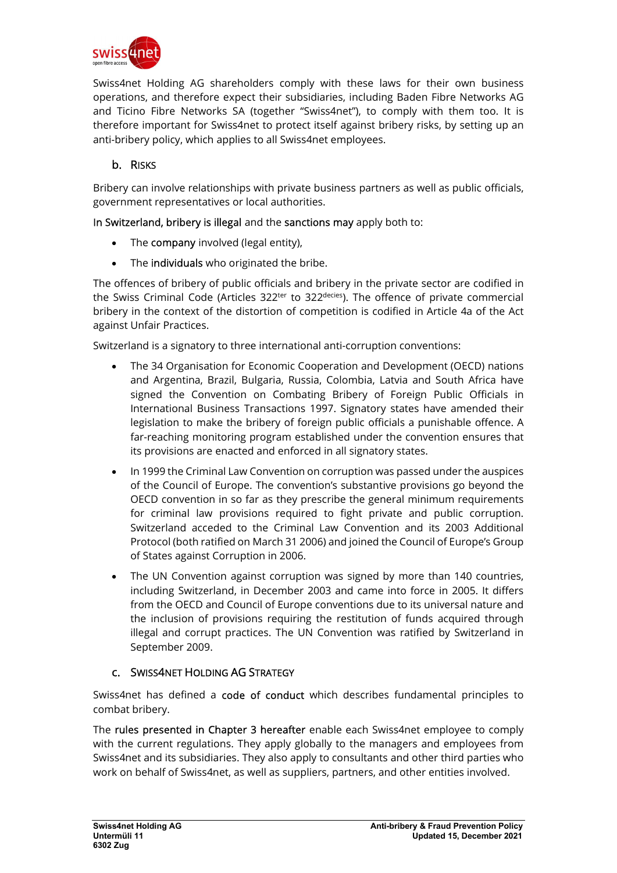

Swiss4net Holding AG shareholders comply with these laws for their own business operations, and therefore expect their subsidiaries, including Baden Fibre Networks AG and Ticino Fibre Networks SA (together "Swiss4net"), to comply with them too. It is therefore important for Swiss4net to protect itself against bribery risks, by setting up an anti-bribery policy, which applies to all Swiss4net employees.

# b. RISKS

Bribery can involve relationships with private business partners as well as public officials, government representatives or local authorities.

In Switzerland, bribery is illegal and the sanctions may apply both to:

- The company involved (legal entity),
- The individuals who originated the bribe.

The offences of bribery of public officials and bribery in the private sector are codified in the Swiss Criminal Code (Articles  $322^{\text{ter}}$  to  $322^{\text{decies}}$ ). The offence of private commercial bribery in the context of the distortion of competition is codified in Article 4a of the Act against Unfair Practices.

Switzerland is a signatory to three international anti-corruption conventions:

- The 34 Organisation for Economic Cooperation and Development (OECD) nations and Argentina, Brazil, Bulgaria, Russia, Colombia, Latvia and South Africa have signed the Convention on Combating Bribery of Foreign Public Officials in International Business Transactions 1997. Signatory states have amended their legislation to make the bribery of foreign public officials a punishable offence. A far-reaching monitoring program established under the convention ensures that its provisions are enacted and enforced in all signatory states.
- In 1999 the Criminal Law Convention on corruption was passed under the auspices of the Council of Europe. The convention's substantive provisions go beyond the OECD convention in so far as they prescribe the general minimum requirements for criminal law provisions required to fight private and public corruption. Switzerland acceded to the Criminal Law Convention and its 2003 Additional Protocol (both ratified on March 31 2006) and joined the Council of Europe's Group of States against Corruption in 2006.
- The UN Convention against corruption was signed by more than 140 countries, including Switzerland, in December 2003 and came into force in 2005. It differs from the OECD and Council of Europe conventions due to its universal nature and the inclusion of provisions requiring the restitution of funds acquired through illegal and corrupt practices. The UN Convention was ratified by Switzerland in September 2009.

# c. SWISS4NET HOLDING AG STRATEGY

Swiss4net has defined a code of conduct which describes fundamental principles to combat bribery.

The rules presented in Chapter 3 hereafter enable each Swiss4net employee to comply with the current regulations. They apply globally to the managers and employees from Swiss4net and its subsidiaries. They also apply to consultants and other third parties who work on behalf of Swiss4net, as well as suppliers, partners, and other entities involved.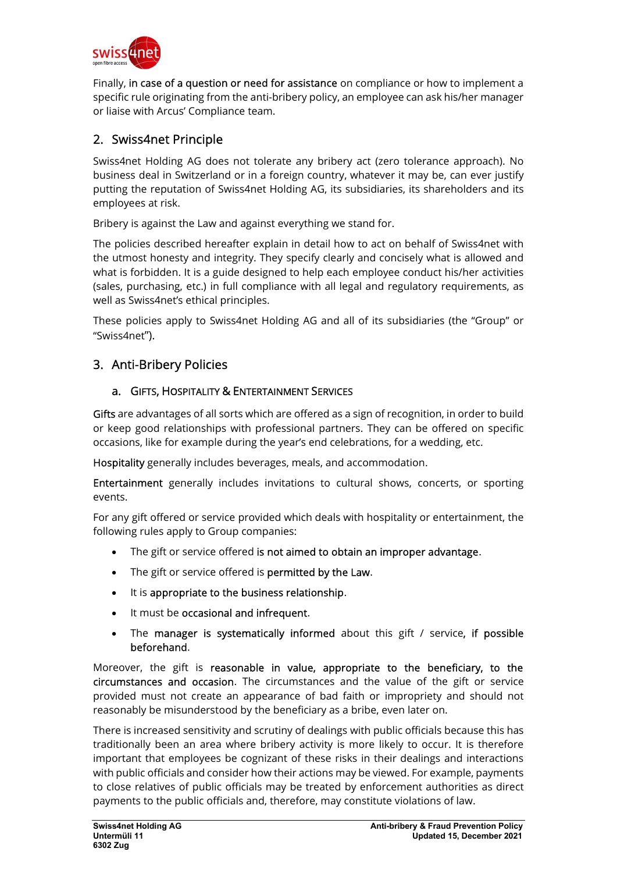

Finally, in case of a question or need for assistance on compliance or how to implement a specific rule originating from the anti-bribery policy, an employee can ask his/her manager or liaise with Arcus' Compliance team.

# 2. Swiss4net Principle

Swiss4net Holding AG does not tolerate any bribery act (zero tolerance approach). No business deal in Switzerland or in a foreign country, whatever it may be, can ever justify putting the reputation of Swiss4net Holding AG, its subsidiaries, its shareholders and its employees at risk.

Bribery is against the Law and against everything we stand for.

The policies described hereafter explain in detail how to act on behalf of Swiss4net with the utmost honesty and integrity. They specify clearly and concisely what is allowed and what is forbidden. It is a guide designed to help each employee conduct his/her activities (sales, purchasing, etc.) in full compliance with all legal and regulatory requirements, as well as Swiss4net's ethical principles.

These policies apply to Swiss4net Holding AG and all of its subsidiaries (the "Group" or "Swiss4net").

# 3. Anti-Bribery Policies

# a. GIFTS, HOSPITALITY & ENTERTAINMENT SERVICES

Gifts are advantages of all sorts which are offered as a sign of recognition, in order to build or keep good relationships with professional partners. They can be offered on specific occasions, like for example during the year's end celebrations, for a wedding, etc.

Hospitality generally includes beverages, meals, and accommodation.

Entertainment generally includes invitations to cultural shows, concerts, or sporting events.

For any gift offered or service provided which deals with hospitality or entertainment, the following rules apply to Group companies:

- The gift or service offered is not aimed to obtain an improper advantage.
- The gift or service offered is permitted by the Law.
- It is appropriate to the business relationship.
- It must be occasional and infrequent.
- The manager is systematically informed about this gift / service, if possible beforehand.

Moreover, the gift is reasonable in value, appropriate to the beneficiary, to the circumstances and occasion. The circumstances and the value of the gift or service provided must not create an appearance of bad faith or impropriety and should not reasonably be misunderstood by the beneficiary as a bribe, even later on.

There is increased sensitivity and scrutiny of dealings with public officials because this has traditionally been an area where bribery activity is more likely to occur. It is therefore important that employees be cognizant of these risks in their dealings and interactions with public officials and consider how their actions may be viewed. For example, payments to close relatives of public officials may be treated by enforcement authorities as direct payments to the public officials and, therefore, may constitute violations of law.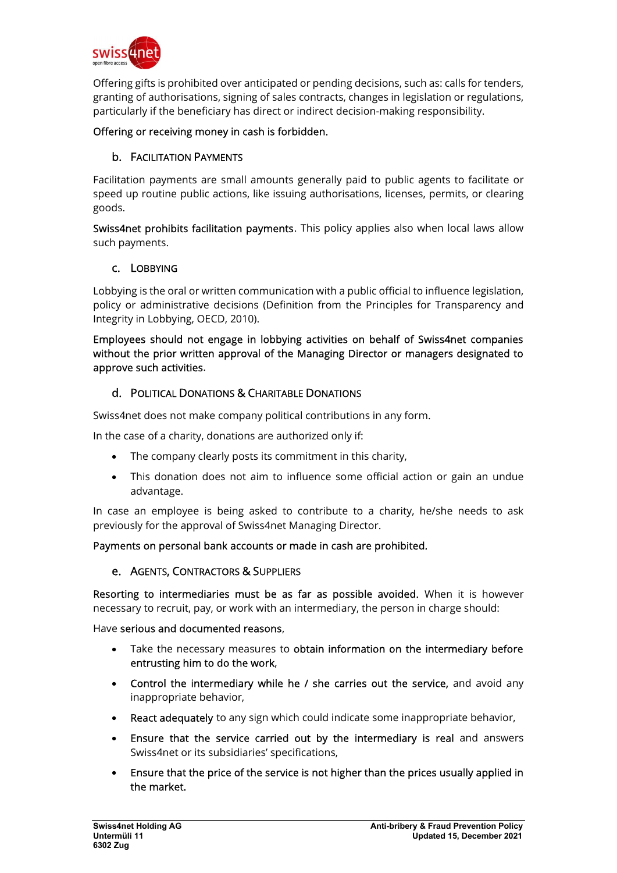

Offering gifts is prohibited over anticipated or pending decisions, such as: calls for tenders, granting of authorisations, signing of sales contracts, changes in legislation or regulations, particularly if the beneficiary has direct or indirect decision-making responsibility.

#### Offering or receiving money in cash is forbidden.

# b. FACILITATION PAYMENTS

Facilitation payments are small amounts generally paid to public agents to facilitate or speed up routine public actions, like issuing authorisations, licenses, permits, or clearing goods.

Swiss4net prohibits facilitation payments. This policy applies also when local laws allow such payments.

#### c. LOBBYING

Lobbying is the oral or written communication with a public official to influence legislation, policy or administrative decisions (Definition from the Principles for Transparency and Integrity in Lobbying, OECD, 2010).

Employees should not engage in lobbying activities on behalf of Swiss4net companies without the prior written approval of the Managing Director or managers designated to approve such activities.

#### d. POLITICAL DONATIONS & CHARITABLE DONATIONS

Swiss4net does not make company political contributions in any form.

In the case of a charity, donations are authorized only if:

- The company clearly posts its commitment in this charity,
- This donation does not aim to influence some official action or gain an undue advantage.

In case an employee is being asked to contribute to a charity, he/she needs to ask previously for the approval of Swiss4net Managing Director.

#### Payments on personal bank accounts or made in cash are prohibited.

#### e. AGENTS, CONTRACTORS & SUPPLIERS

Resorting to intermediaries must be as far as possible avoided. When it is however necessary to recruit, pay, or work with an intermediary, the person in charge should:

Have serious and documented reasons,

- Take the necessary measures to obtain information on the intermediary before entrusting him to do the work,
- Control the intermediary while he / she carries out the service, and avoid any inappropriate behavior,
- React adequately to any sign which could indicate some inappropriate behavior,
- Ensure that the service carried out by the intermediary is real and answers Swiss4net or its subsidiaries' specifications,
- Ensure that the price of the service is not higher than the prices usually applied in the market.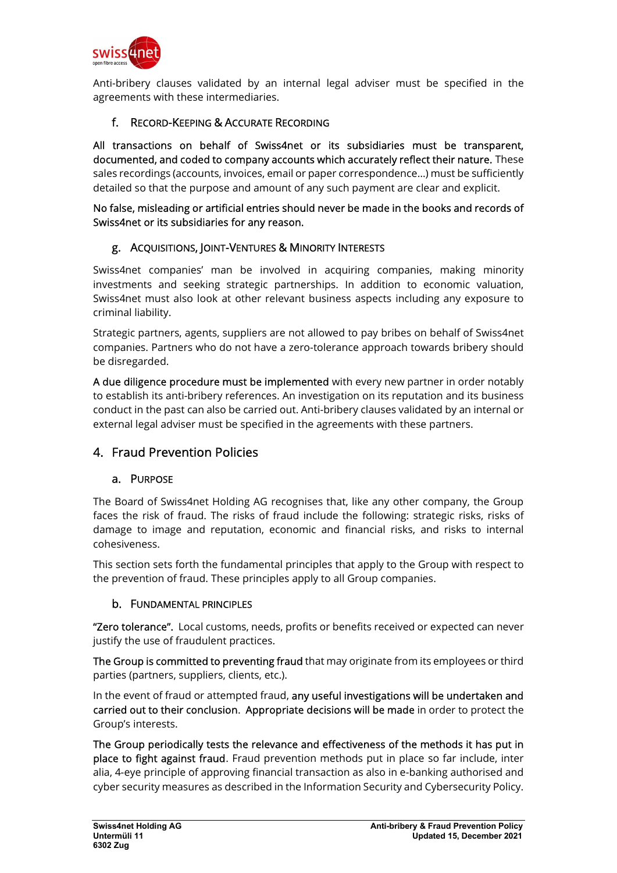

Anti-bribery clauses validated by an internal legal adviser must be specified in the agreements with these intermediaries.

# f. RECORD-KEEPING & ACCURATE RECORDING

All transactions on behalf of Swiss4net or its subsidiaries must be transparent, documented, and coded to company accounts which accurately reflect their nature. These sales recordings (accounts, invoices, email or paper correspondence…) must be sufficiently detailed so that the purpose and amount of any such payment are clear and explicit.

#### No false, misleading or artificial entries should never be made in the books and records of Swiss4net or its subsidiaries for any reason.

# g. ACQUISITIONS, JOINT-VENTURES & MINORITY INTERESTS

Swiss4net companies' man be involved in acquiring companies, making minority investments and seeking strategic partnerships. In addition to economic valuation, Swiss4net must also look at other relevant business aspects including any exposure to criminal liability.

Strategic partners, agents, suppliers are not allowed to pay bribes on behalf of Swiss4net companies. Partners who do not have a zero-tolerance approach towards bribery should be disregarded.

A due diligence procedure must be implemented with every new partner in order notably to establish its anti-bribery references. An investigation on its reputation and its business conduct in the past can also be carried out. Anti-bribery clauses validated by an internal or external legal adviser must be specified in the agreements with these partners.

# 4. Fraud Prevention Policies

# a. PURPOSE

The Board of Swiss4net Holding AG recognises that, like any other company, the Group faces the risk of fraud. The risks of fraud include the following: strategic risks, risks of damage to image and reputation, economic and financial risks, and risks to internal cohesiveness.

This section sets forth the fundamental principles that apply to the Group with respect to the prevention of fraud. These principles apply to all Group companies.

# b. FUNDAMENTAL PRINCIPLES

"Zero tolerance". Local customs, needs, profits or benefits received or expected can never justify the use of fraudulent practices.

The Group is committed to preventing fraud that may originate from its employees or third parties (partners, suppliers, clients, etc.).

In the event of fraud or attempted fraud, any useful investigations will be undertaken and carried out to their conclusion. Appropriate decisions will be made in order to protect the Group's interests.

The Group periodically tests the relevance and effectiveness of the methods it has put in place to fight against fraud. Fraud prevention methods put in place so far include, inter alia, 4-eye principle of approving financial transaction as also in e-banking authorised and cyber security measures as described in the Information Security and Cybersecurity Policy.